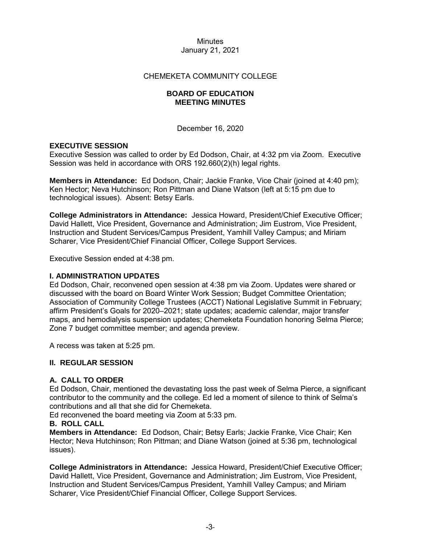### CHEMEKETA COMMUNITY COLLEGE

### **BOARD OF EDUCATION MEETING MINUTES**

December 16, 2020

### **EXECUTIVE SESSION**

Executive Session was called to order by Ed Dodson, Chair, at 4:32 pm via Zoom. Executive Session was held in accordance with ORS 192.660(2)(h) legal rights.

**Members in Attendance:** Ed Dodson, Chair; Jackie Franke, Vice Chair (joined at 4:40 pm); Ken Hector; Neva Hutchinson; Ron Pittman and Diane Watson (left at 5:15 pm due to technological issues). Absent: Betsy Earls.

**College Administrators in Attendance:** Jessica Howard, President/Chief Executive Officer; David Hallett, Vice President, Governance and Administration; Jim Eustrom, Vice President, Instruction and Student Services/Campus President, Yamhill Valley Campus; and Miriam Scharer, Vice President/Chief Financial Officer, College Support Services.

Executive Session ended at 4:38 pm.

### **I. ADMINISTRATION UPDATES**

Ed Dodson, Chair, reconvened open session at 4:38 pm via Zoom. Updates were shared or discussed with the board on Board Winter Work Session; Budget Committee Orientation; Association of Community College Trustees (ACCT) National Legislative Summit in February; affirm President's Goals for 2020–2021; state updates; academic calendar, major transfer maps, and hemodialysis suspension updates; Chemeketa Foundation honoring Selma Pierce; Zone 7 budget committee member; and agenda preview.

A recess was taken at 5:25 pm.

#### **II. REGULAR SESSION**

# **A. CALL TO ORDER**

Ed Dodson, Chair, mentioned the devastating loss the past week of Selma Pierce, a significant contributor to the community and the college. Ed led a moment of silence to think of Selma's contributions and all that she did for Chemeketa.

Ed reconvened the board meeting via Zoom at 5:33 pm.

#### **B. ROLL CALL**

**Members in Attendance:** Ed Dodson, Chair; Betsy Earls; Jackie Franke, Vice Chair; Ken Hector; Neva Hutchinson; Ron Pittman; and Diane Watson (joined at 5:36 pm, technological issues).

**College Administrators in Attendance:** Jessica Howard, President/Chief Executive Officer; David Hallett, Vice President, Governance and Administration; Jim Eustrom, Vice President, Instruction and Student Services/Campus President, Yamhill Valley Campus; and Miriam Scharer, Vice President/Chief Financial Officer, College Support Services.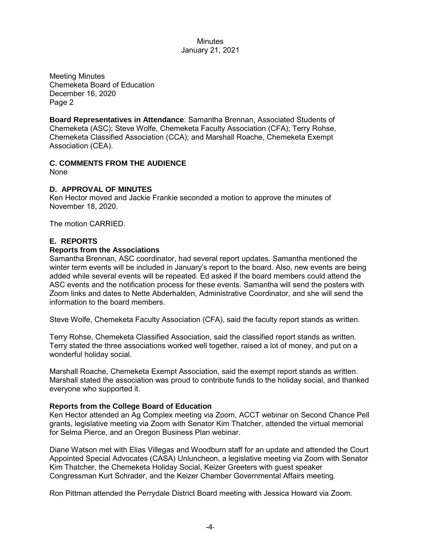Meeting Minutes Chemeketa Board of Education December 16, 2020 Page 2

**Board Representatives in Attendance**: Samantha Brennan, Associated Students of Chemeketa (ASC); Steve Wolfe, Chemeketa Faculty Association (CFA); Terry Rohse, Chemeketa Classified Association (CCA); and Marshall Roache, Chemeketa Exempt Association (CEA).

# **C. COMMENTS FROM THE AUDIENCE**

None

### **D. APPROVAL OF MINUTES**

Ken Hector moved and Jackie Frankie seconded a motion to approve the minutes of November 18, 2020.

The motion CARRIED.

### **E. REPORTS**

#### **Reports from the Associations**

Samantha Brennan, ASC coordinator, had several report updates. Samantha mentioned the winter term events will be included in January's report to the board. Also, new events are being added while several events will be repeated. Ed asked if the board members could attend the ASC events and the notification process for these events. Samantha will send the posters with Zoom links and dates to Nette Abderhalden, Administrative Coordinator, and she will send the information to the board members.

Steve Wolfe, Chemeketa Faculty Association (CFA), said the faculty report stands as written.

Terry Rohse, Chemeketa Classified Association, said the classified report stands as written. Terry stated the three associations worked well together, raised a lot of money, and put on a wonderful holiday social.

Marshall Roache, Chemeketa Exempt Association, said the exempt report stands as written. Marshall stated the association was proud to contribute funds to the holiday social, and thanked everyone who supported it.

#### **Reports from the College Board of Education**

Ken Hector attended an Ag Complex meeting via Zoom, ACCT webinar on Second Chance Pell grants, legislative meeting via Zoom with Senator Kim Thatcher, attended the virtual memorial for Selma Pierce, and an Oregon Business Plan webinar.

Diane Watson met with Elias Villegas and Woodburn staff for an update and attended the Court Appointed Special Advocates (CASA) Unluncheon, a legislative meeting via Zoom with Senator Kim Thatcher, the Chemeketa Holiday Social, Keizer Greeters with guest speaker Congressman Kurt Schrader, and the Keizer Chamber Governmental Affairs meeting.

Ron Pittman attended the Perrydale District Board meeting with Jessica Howard via Zoom.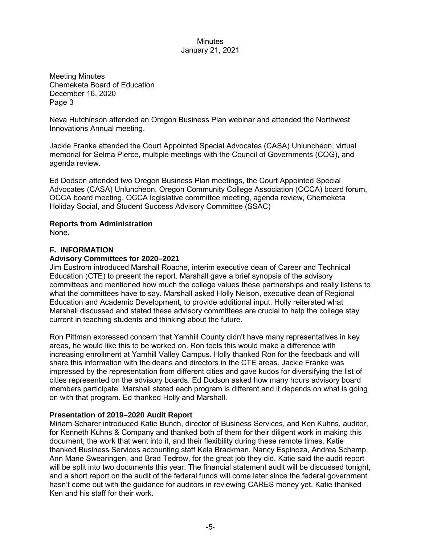Meeting Minutes Chemeketa Board of Education December 16, 2020 Page 3

Neva Hutchinson attended an Oregon Business Plan webinar and attended the Northwest Innovations Annual meeting.

Jackie Franke attended the Court Appointed Special Advocates (CASA) Unluncheon, virtual memorial for Selma Pierce, multiple meetings with the Council of Governments (COG), and agenda review.

Ed Dodson attended two Oregon Business Plan meetings, the Court Appointed Special Advocates (CASA) Unluncheon, Oregon Community College Association (OCCA) board forum, OCCA board meeting, OCCA legislative committee meeting, agenda review, Chemeketa Holiday Social, and Student Success Advisory Committee (SSAC)

### **Reports from Administration**

None.

# **F. INFORMATION**

### **Advisory Committees for 2020–2021**

Jim Eustrom introduced Marshall Roache, interim executive dean of Career and Technical Education (CTE) to present the report. Marshall gave a brief synopsis of the advisory committees and mentioned how much the college values these partnerships and really listens to what the committees have to say. Marshall asked Holly Nelson, executive dean of Regional Education and Academic Development, to provide additional input. Holly reiterated what Marshall discussed and stated these advisory committees are crucial to help the college stay current in teaching students and thinking about the future.

Ron Pittman expressed concern that Yamhill County didn't have many representatives in key areas, he would like this to be worked on. Ron feels this would make a difference with increasing enrollment at Yamhill Valley Campus. Holly thanked Ron for the feedback and will share this information with the deans and directors in the CTE areas. Jackie Franke was impressed by the representation from different cities and gave kudos for diversifying the list of cities represented on the advisory boards. Ed Dodson asked how many hours advisory board members participate. Marshall stated each program is different and it depends on what is going on with that program. Ed thanked Holly and Marshall.

# **Presentation of 2019–2020 Audit Report**

Miriam Scharer introduced Katie Bunch, director of Business Services, and Ken Kuhns, auditor, for Kenneth Kuhns & Company and thanked both of them for their diligent work in making this document, the work that went into it, and their flexibility during these remote times. Katie thanked Business Services accounting staff Kela Brackman, Nancy Espinoza, Andrea Schamp, Ann Marie Swearingen, and Brad Tedrow, for the great job they did. Katie said the audit report will be split into two documents this year. The financial statement audit will be discussed tonight, and a short report on the audit of the federal funds will come later since the federal government hasn't come out with the guidance for auditors in reviewing CARES money yet. Katie thanked Ken and his staff for their work.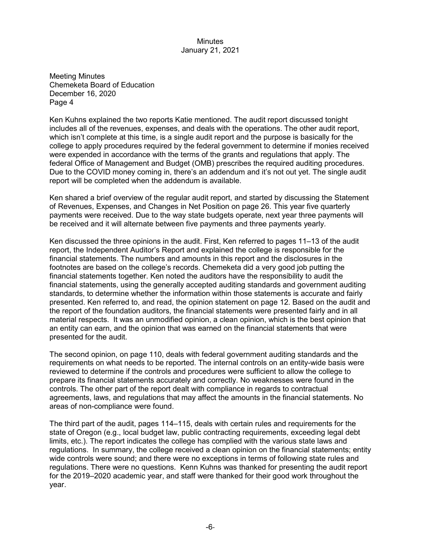Meeting Minutes Chemeketa Board of Education December 16, 2020 Page 4

Ken Kuhns explained the two reports Katie mentioned. The audit report discussed tonight includes all of the revenues, expenses, and deals with the operations. The other audit report, which isn't complete at this time, is a single audit report and the purpose is basically for the college to apply procedures required by the federal government to determine if monies received were expended in accordance with the terms of the grants and regulations that apply. The federal Office of Management and Budget (OMB) prescribes the required auditing procedures. Due to the COVID money coming in, there's an addendum and it's not out yet. The single audit report will be completed when the addendum is available.

Ken shared a brief overview of the regular audit report, and started by discussing the Statement of Revenues, Expenses, and Changes in Net Position on page 26. This year five quarterly payments were received. Due to the way state budgets operate, next year three payments will be received and it will alternate between five payments and three payments yearly.

Ken discussed the three opinions in the audit. First, Ken referred to pages 11–13 of the audit report, the Independent Auditor's Report and explained the college is responsible for the financial statements. The numbers and amounts in this report and the disclosures in the footnotes are based on the college's records. Chemeketa did a very good job putting the financial statements together. Ken noted the auditors have the responsibility to audit the financial statements, using the generally accepted auditing standards and government auditing standards, to determine whether the information within those statements is accurate and fairly presented. Ken referred to, and read, the opinion statement on page 12. Based on the audit and the report of the foundation auditors, the financial statements were presented fairly and in all material respects. It was an unmodified opinion, a clean opinion, which is the best opinion that an entity can earn, and the opinion that was earned on the financial statements that were presented for the audit.

The second opinion, on page 110, deals with federal government auditing standards and the requirements on what needs to be reported. The internal controls on an entity-wide basis were reviewed to determine if the controls and procedures were sufficient to allow the college to prepare its financial statements accurately and correctly. No weaknesses were found in the controls. The other part of the report dealt with compliance in regards to contractual agreements, laws, and regulations that may affect the amounts in the financial statements. No areas of non-compliance were found.

The third part of the audit, pages 114–115, deals with certain rules and requirements for the state of Oregon (e.g., local budget law, public contracting requirements, exceeding legal debt limits, etc.). The report indicates the college has complied with the various state laws and regulations. In summary, the college received a clean opinion on the financial statements; entity wide controls were sound; and there were no exceptions in terms of following state rules and regulations. There were no questions. Kenn Kuhns was thanked for presenting the audit report for the 2019–2020 academic year, and staff were thanked for their good work throughout the year.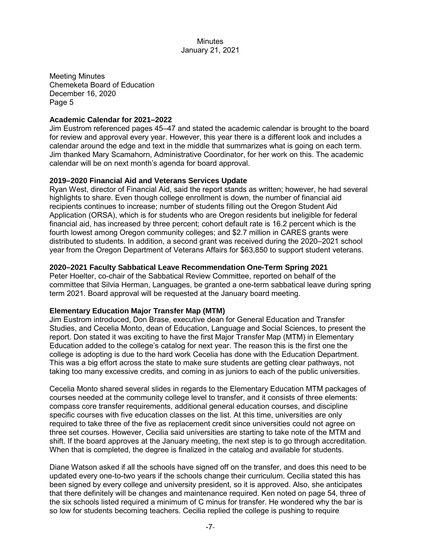Meeting Minutes Chemeketa Board of Education December 16, 2020 Page 5

#### **Academic Calendar for 2021–2022**

Jim Eustrom referenced pages 45–47 and stated the academic calendar is brought to the board for review and approval every year. However, this year there is a different look and includes a calendar around the edge and text in the middle that summarizes what is going on each term. Jim thanked Mary Scamahorn, Administrative Coordinator, for her work on this. The academic calendar will be on next month's agenda for board approval.

#### **2019–2020 Financial Aid and Veterans Services Update**

Ryan West, director of Financial Aid, said the report stands as written; however, he had several highlights to share. Even though college enrollment is down, the number of financial aid recipients continues to increase; number of students filling out the Oregon Student Aid Application (ORSA), which is for students who are Oregon residents but ineligible for federal financial aid, has increased by three percent; cohort default rate is 16.2 percent which is the fourth lowest among Oregon community colleges; and \$2.7 million in CARES grants were distributed to students. In addition, a second grant was received during the 2020–2021 school year from the Oregon Department of Veterans Affairs for \$63,850 to support student veterans.

#### **2020–2021 Faculty Sabbatical Leave Recommendation One-Term Spring 2021**

Peter Hoelter, co-chair of the Sabbatical Review Committee, reported on behalf of the committee that Silvia Herman, Languages, be granted a one-term sabbatical leave during spring term 2021. Board approval will be requested at the January board meeting.

#### **Elementary Education Major Transfer Map (MTM)**

Jim Eustrom introduced, Don Brase, executive dean for General Education and Transfer Studies, and Cecelia Monto, dean of Education, Language and Social Sciences, to present the report. Don stated it was exciting to have the first Major Transfer Map (MTM) in Elementary Education added to the college's catalog for next year. The reason this is the first one the college is adopting is due to the hard work Cecelia has done with the Education Department. This was a big effort across the state to make sure students are getting clear pathways, not taking too many excessive credits, and coming in as juniors to each of the public universities.

Cecelia Monto shared several slides in regards to the Elementary Education MTM packages of courses needed at the community college level to transfer, and it consists of three elements: compass core transfer requirements, additional general education courses, and discipline specific courses with five education classes on the list. At this time, universities are only required to take three of the five as replacement credit since universities could not agree on three set courses. However, Cecilia said universities are starting to take note of the MTM and shift. If the board approves at the January meeting, the next step is to go through accreditation. When that is completed, the degree is finalized in the catalog and available for students.

Diane Watson asked if all the schools have signed off on the transfer, and does this need to be updated every one-to-two years if the schools change their curriculum. Cecilia stated this has been signed by every college and university president, so it is approved. Also, she anticipates that there definitely will be changes and maintenance required. Ken noted on page 54, three of the six schools listed required a minimum of C minus for transfer. He wondered why the bar is so low for students becoming teachers. Cecilia replied the college is pushing to require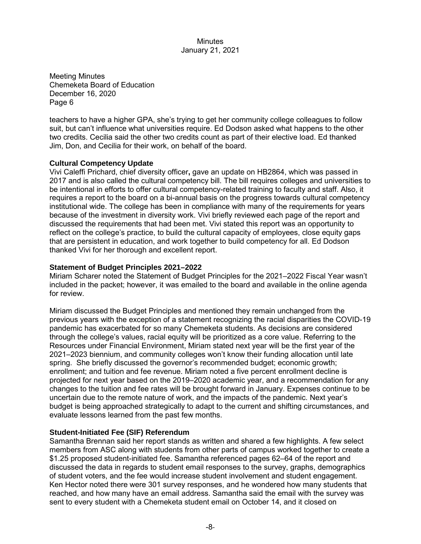Meeting Minutes Chemeketa Board of Education December 16, 2020 Page 6

teachers to have a higher GPA, she's trying to get her community college colleagues to follow suit, but can't influence what universities require. Ed Dodson asked what happens to the other two credits. Cecilia said the other two credits count as part of their elective load. Ed thanked Jim, Don, and Cecilia for their work, on behalf of the board.

#### **Cultural Competency Update**

Vivi Caleffi Prichard, chief diversity officer**,** gave an update on HB2864, which was passed in 2017 and is also called the cultural competency bill. The bill requires colleges and universities to be intentional in efforts to offer cultural competency-related training to faculty and staff. Also, it requires a report to the board on a bi-annual basis on the progress towards cultural competency institutional wide. The college has been in compliance with many of the requirements for years because of the investment in diversity work. Vivi briefly reviewed each page of the report and discussed the requirements that had been met. Vivi stated this report was an opportunity to reflect on the college's practice, to build the cultural capacity of employees, close equity gaps that are persistent in education, and work together to build competency for all. Ed Dodson thanked Vivi for her thorough and excellent report.

#### **Statement of Budget Principles 2021–2022**

Miriam Scharer noted the Statement of Budget Principles for the 2021–2022 Fiscal Year wasn't included in the packet; however, it was emailed to the board and available in the online agenda for review.

Miriam discussed the Budget Principles and mentioned they remain unchanged from the previous years with the exception of a statement recognizing the racial disparities the COVID-19 pandemic has exacerbated for so many Chemeketa students. As decisions are considered through the college's values, racial equity will be prioritized as a core value. Referring to the Resources under Financial Environment, Miriam stated next year will be the first year of the 2021–2023 biennium, and community colleges won't know their funding allocation until late spring. She briefly discussed the governor's recommended budget; economic growth; enrollment; and tuition and fee revenue. Miriam noted a five percent enrollment decline is projected for next year based on the 2019–2020 academic year, and a recommendation for any changes to the tuition and fee rates will be brought forward in January. Expenses continue to be uncertain due to the remote nature of work, and the impacts of the pandemic. Next year's budget is being approached strategically to adapt to the current and shifting circumstances, and evaluate lessons learned from the past few months.

#### **Student-Initiated Fee (SIF) Referendum**

Samantha Brennan said her report stands as written and shared a few highlights. A few select members from ASC along with students from other parts of campus worked together to create a \$1.25 proposed student-initiated fee. Samantha referenced pages 62–64 of the report and discussed the data in regards to student email responses to the survey, graphs, demographics of student voters, and the fee would increase student involvement and student engagement. Ken Hector noted there were 301 survey responses, and he wondered how many students that reached, and how many have an email address. Samantha said the email with the survey was sent to every student with a Chemeketa student email on October 14, and it closed on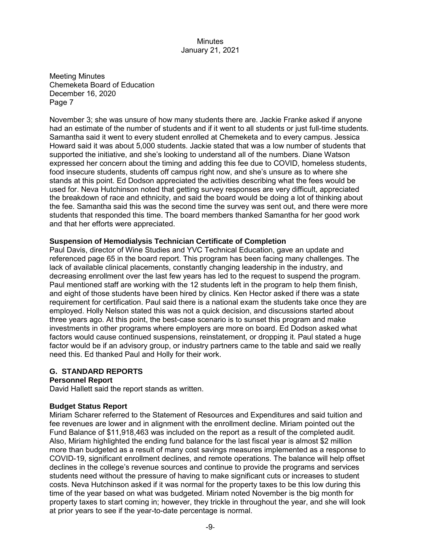Meeting Minutes Chemeketa Board of Education December 16, 2020 Page 7

November 3; she was unsure of how many students there are. Jackie Franke asked if anyone had an estimate of the number of students and if it went to all students or just full-time students. Samantha said it went to every student enrolled at Chemeketa and to every campus. Jessica Howard said it was about 5,000 students. Jackie stated that was a low number of students that supported the initiative, and she's looking to understand all of the numbers. Diane Watson expressed her concern about the timing and adding this fee due to COVID, homeless students, food insecure students, students off campus right now, and she's unsure as to where she stands at this point. Ed Dodson appreciated the activities describing what the fees would be used for. Neva Hutchinson noted that getting survey responses are very difficult, appreciated the breakdown of race and ethnicity, and said the board would be doing a lot of thinking about the fee. Samantha said this was the second time the survey was sent out, and there were more students that responded this time. The board members thanked Samantha for her good work and that her efforts were appreciated.

#### **Suspension of Hemodialysis Technician Certificate of Completion**

Paul Davis, director of Wine Studies and YVC Technical Education, gave an update and referenced page 65 in the board report. This program has been facing many challenges. The lack of available clinical placements, constantly changing leadership in the industry, and decreasing enrollment over the last few years has led to the request to suspend the program. Paul mentioned staff are working with the 12 students left in the program to help them finish, and eight of those students have been hired by clinics. Ken Hector asked if there was a state requirement for certification. Paul said there is a national exam the students take once they are employed. Holly Nelson stated this was not a quick decision, and discussions started about three years ago. At this point, the best-case scenario is to sunset this program and make investments in other programs where employers are more on board. Ed Dodson asked what factors would cause continued suspensions, reinstatement, or dropping it. Paul stated a huge factor would be if an advisory group, or industry partners came to the table and said we really need this. Ed thanked Paul and Holly for their work.

# **G. STANDARD REPORTS**

#### **Personnel Report**

David Hallett said the report stands as written.

#### **Budget Status Report**

Miriam Scharer referred to the Statement of Resources and Expenditures and said tuition and fee revenues are lower and in alignment with the enrollment decline. Miriam pointed out the Fund Balance of \$11,918,463 was included on the report as a result of the completed audit. Also, Miriam highlighted the ending fund balance for the last fiscal year is almost \$2 million more than budgeted as a result of many cost savings measures implemented as a response to COVID-19, significant enrollment declines, and remote operations. The balance will help offset declines in the college's revenue sources and continue to provide the programs and services students need without the pressure of having to make significant cuts or increases to student costs. Neva Hutchinson asked if it was normal for the property taxes to be this low during this time of the year based on what was budgeted. Miriam noted November is the big month for property taxes to start coming in; however, they trickle in throughout the year, and she will look at prior years to see if the year-to-date percentage is normal.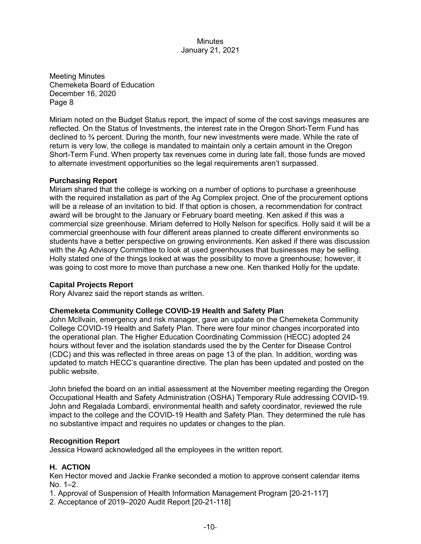Meeting Minutes Chemeketa Board of Education December 16, 2020 Page 8

Miriam noted on the Budget Status report, the impact of some of the cost savings measures are reflected. On the Status of Investments, the interest rate in the Oregon Short-Term Fund has declined to  $\frac{3}{4}$  percent. During the month, four new investments were made. While the rate of return is very low, the college is mandated to maintain only a certain amount in the Oregon Short-Term Fund. When property tax revenues come in during late fall, those funds are moved to alternate investment opportunities so the legal requirements aren't surpassed.

#### **Purchasing Report**

Miriam shared that the college is working on a number of options to purchase a greenhouse with the required installation as part of the Ag Complex project. One of the procurement options will be a release of an invitation to bid. If that option is chosen, a recommendation for contract award will be brought to the January or February board meeting. Ken asked if this was a commercial size greenhouse. Miriam deferred to Holly Nelson for specifics. Holly said it will be a commercial greenhouse with four different areas planned to create different environments so students have a better perspective on growing environments. Ken asked if there was discussion with the Ag Advisory Committee to look at used greenhouses that businesses may be selling. Holly stated one of the things looked at was the possibility to move a greenhouse; however, it was going to cost more to move than purchase a new one. Ken thanked Holly for the update.

#### **Capital Projects Report**

Rory Alvarez said the report stands as written.

# **Chemeketa Community College COVID-19 Health and Safety Plan**

John McIlvain, emergency and risk manager, gave an update on the Chemeketa Community College COVID-19 Health and Safety Plan. There were four minor changes incorporated into the operational plan. The Higher Education Coordinating Commission (HECC) adopted 24 hours without fever and the isolation standards used the by the Center for Disease Control (CDC) and this was reflected in three areas on page 13 of the plan. In addition, wording was updated to match HECC's quarantine directive. The plan has been updated and posted on the public website.

John briefed the board on an initial assessment at the November meeting regarding the Oregon Occupational Health and Safety Administration (OSHA) Temporary Rule addressing COVID-19. John and Regalada Lombardi, environmental health and safety coordinator, reviewed the rule impact to the college and the COVID-19 Health and Safety Plan. They determined the rule has no substantive impact and requires no updates or changes to the plan.

#### **Recognition Report**

Jessica Howard acknowledged all the employees in the written report.

#### **H. ACTION**

Ken Hector moved and Jackie Franke seconded a motion to approve consent calendar items No. 1–2.

1. Approval of Suspension of Health Information Management Program [20-21-117]

2. Acceptance of 2019–2020 Audit Report [20-21-118]